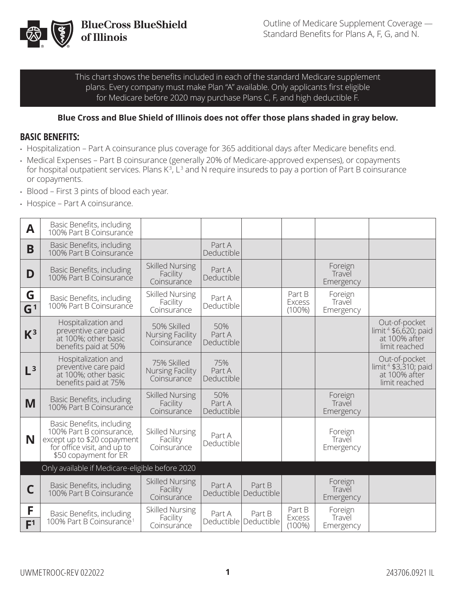

This chart shows the benefits included in each of the standard Medicare supplement plans. Every company must make Plan "A" available. Only applicants first eligible for Medicare before 2020 may purchase Plans C, F, and high deductible F.

#### **Blue Cross and Blue Shield of Illinois does not offer those plans shaded in gray below.**

#### **BASIC BENEFITS:**

- Hospitalization Part A coinsurance plus coverage for 365 additional days after Medicare benefits end.
- Medical Expenses Part B coinsurance (generally 20% of Medicare-approved expenses), or copayments for hospital outpatient services. Plans K<sup>3</sup>, L<sup>3</sup> and N require insureds to pay a portion of Part B coinsurance or copayments.
- Blood First 3 pints of blood each year.
- Hospice Part A coinsurance.

| A                   | Basic Benefits, including<br>100% Part B Coinsurance                                                                                         |                                                       |                             |                                   |                                      |                                |                                                                                     |
|---------------------|----------------------------------------------------------------------------------------------------------------------------------------------|-------------------------------------------------------|-----------------------------|-----------------------------------|--------------------------------------|--------------------------------|-------------------------------------------------------------------------------------|
| B                   | Basic Benefits, including<br>100% Part B Coinsurance                                                                                         |                                                       | Part A<br>Deductible        |                                   |                                      |                                |                                                                                     |
| D                   | Basic Benefits, including<br>100% Part B Coinsurance                                                                                         | <b>Skilled Nursing</b><br>Facility<br>Coinsurance     | Part A<br>Deductible        |                                   |                                      | Foreign<br>Travel<br>Emergency |                                                                                     |
| G<br>G <sup>1</sup> | Basic Benefits, including<br>100% Part B Coinsurance                                                                                         | <b>Skilled Nursing</b><br>Facility<br>Coinsurance     | Part A<br>Deductible        |                                   | Part B<br>Excess<br>$(100\%)$        | Foreign<br>Travel<br>Emergency |                                                                                     |
| $K^3$               | Hospitalization and<br>preventive care paid<br>at 100%; other basic<br>benefits paid at 50%                                                  | 50% Skilled<br><b>Nursing Facility</b><br>Coinsurance | 50%<br>Part A<br>Deductible |                                   |                                      |                                | Out-of-pocket<br>limit <sup>4</sup> \$6,620; paid<br>at 100% after<br>limit reached |
| $L^3$               | Hospitalization and<br>preventive care paid<br>at 100%; other basic<br>benefits paid at 75%                                                  | 75% Skilled<br>Nursing Facility<br>Coinsurance        | 75%<br>Part A<br>Deductible |                                   |                                      |                                | Out-of-pocket<br>limit <sup>4</sup> \$3,310; paid<br>at 100% after<br>limit reached |
| M                   | Basic Benefits, including<br>100% Part B Coinsurance                                                                                         | <b>Skilled Nursing</b><br>Facility<br>Coinsurance     | 50%<br>Part A<br>Deductible |                                   |                                      | Foreign<br>Travel<br>Emergency |                                                                                     |
| N                   | Basic Benefits, including<br>100% Part B coinsurance,<br>except up to \$20 copayment<br>for office visit, and up to<br>\$50 copayment for ER | Skilled Nursing<br>Facility<br>Coinsurance            | Part A<br>Deductible        |                                   |                                      | Foreign<br>Travel<br>Emergency |                                                                                     |
|                     | Only available if Medicare-eligible before 2020                                                                                              |                                                       |                             |                                   |                                      |                                |                                                                                     |
| С                   | Basic Benefits, including<br>100% Part B Coinsurance                                                                                         | <b>Skilled Nursing</b><br>Facility<br>Coinsurance     | Part A                      | Part B<br>Deductible   Deductible |                                      | Foreign<br>Travel<br>Emergency |                                                                                     |
| F<br>F <sup>1</sup> | Basic Benefits, including<br>100% Part B Coinsurance <sup>1</sup>                                                                            | <b>Skilled Nursing</b><br>Facility<br>Coinsurance     | Part A                      | Part B<br>Deductible   Deductible | Part B<br><b>Excess</b><br>$(100\%)$ | Foreign<br>Travel<br>Emergency |                                                                                     |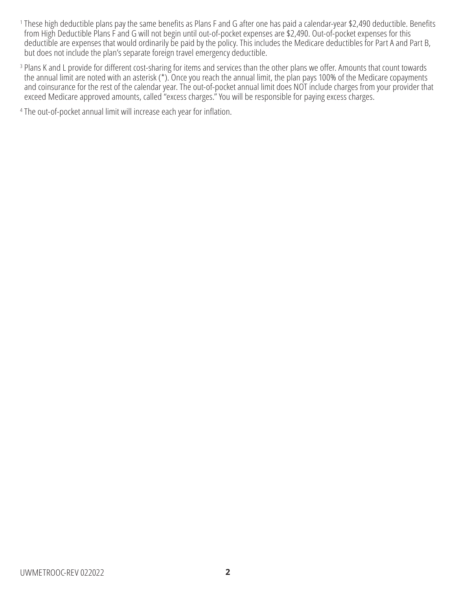- <sup>1</sup> These high deductible plans pay the same benefits as Plans F and G after one has paid a calendar-year \$2,490 deductible. Benefits from High Deductible Plans F and G will not begin until out-of-pocket expenses are \$2,490. Out-of-pocket expenses for this deductible are expenses that would ordinarily be paid by the policy. This includes the Medicare deductibles for Part A and Part B, but does not include the plan's separate foreign travel emergency deductible.
- <sup>3</sup> Plans K and L provide for different cost-sharing for items and services than the other plans we offer. Amounts that count towards the annual limit are noted with an asterisk (\*). Once you reach the annual limit, the plan pays 100% of the Medicare copayments and coinsurance for the rest of the calendar year. The out-of-pocket annual limit does NOT include charges from your provider that exceed Medicare approved amounts, called "excess charges." You will be responsible for paying excess charges.

<sup>4</sup> The out-of-pocket annual limit will increase each year for inflation.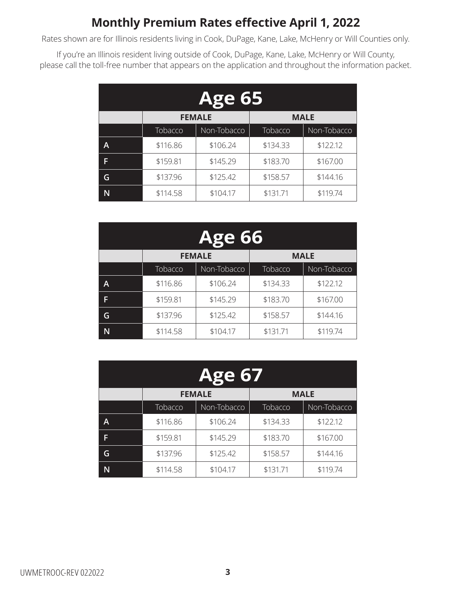## **Monthly Premium Rates effective April 1, 2022**

Rates shown are for Illinois residents living in Cook, DuPage, Kane, Lake, McHenry or Will Counties only.

If you're an Illinois resident living outside of Cook, DuPage, Kane, Lake, McHenry or Will County, please call the toll-free number that appears on the application and throughout the information packet.

| <b>Age 65</b> |                              |             |          |             |  |
|---------------|------------------------------|-------------|----------|-------------|--|
|               | <b>FEMALE</b><br><b>MALE</b> |             |          |             |  |
|               | Tobacco                      | Non-Tobacco | Tobacco  | Non-Tobacco |  |
| A             | \$116.86                     | \$106.24    | \$134.33 | \$122.12    |  |
| F             | \$159.81                     | \$145.29    | \$183.70 | \$167.00    |  |
| G             | \$137.96                     | \$125.42    | \$158.57 | \$144.16    |  |
|               | \$114.58                     | \$104.17    | \$131.71 | \$119.74    |  |

| <b>Age 66</b> |          |                              |          |             |  |  |
|---------------|----------|------------------------------|----------|-------------|--|--|
|               |          | <b>FEMALE</b><br><b>MALE</b> |          |             |  |  |
|               | Tobacco  | Non-Tobacco                  | Tobacco  | Non-Tobacco |  |  |
| A             | \$116.86 | \$106.24                     | \$134.33 | \$122.12    |  |  |
| F             | \$159.81 | \$145.29                     | \$183.70 | \$167.00    |  |  |
| G             | \$137.96 | \$125.42                     | \$158.57 | \$144.16    |  |  |
|               | \$114.58 | \$104.17                     | \$131.71 | \$119.74    |  |  |

| <b>Age 67</b> |                              |             |          |             |  |  |
|---------------|------------------------------|-------------|----------|-------------|--|--|
|               | <b>MALE</b><br><b>FEMALE</b> |             |          |             |  |  |
|               | Tobacco                      | Non-Tobacco | Tobacco  | Non-Tobacco |  |  |
| A             | \$116.86                     | \$106.24    | \$134.33 | \$122.12    |  |  |
| F             | \$159.81                     | \$145.29    | \$183.70 | \$167.00    |  |  |
| G             | \$137.96                     | \$125.42    | \$158.57 | \$144.16    |  |  |
|               | \$114.58                     | \$104.17    | \$131.71 | \$119.74    |  |  |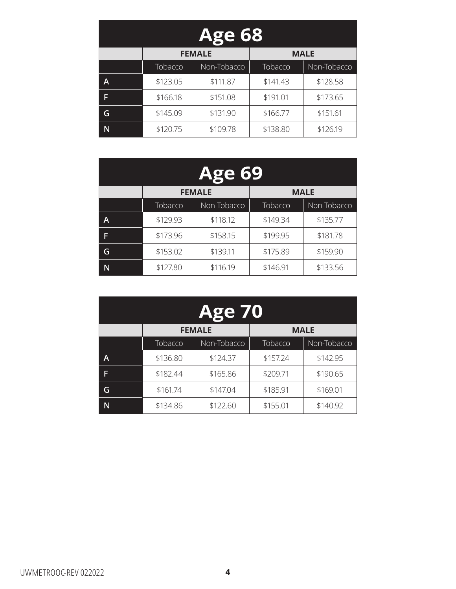| <b>Age 68</b> |                              |             |          |             |  |  |
|---------------|------------------------------|-------------|----------|-------------|--|--|
|               | <b>MALE</b><br><b>FEMALE</b> |             |          |             |  |  |
|               | Tobacco                      | Non-Tobacco | Tobacco  | Non-Tobacco |  |  |
| A             | \$123.05                     | \$111.87    | \$141.43 | \$128.58    |  |  |
| F             | \$166.18                     | \$151.08    | \$191.01 | \$173.65    |  |  |
| G             | \$145.09                     | \$131.90    | \$166.77 | \$151.61    |  |  |
|               | \$120.75                     | \$109.78    | \$138.80 | \$126.19    |  |  |

| <b>Age 69</b> |          |                              |          |             |  |  |
|---------------|----------|------------------------------|----------|-------------|--|--|
|               |          | <b>FEMALE</b><br><b>MALE</b> |          |             |  |  |
|               | Tobacco  | Non-Tobacco                  | Tobacco  | Non-Tobacco |  |  |
| A             | \$129.93 | \$118.12                     | \$149.34 | \$135.77    |  |  |
| F             | \$173.96 | \$158.15                     | \$199.95 | \$181.78    |  |  |
| G             | \$153.02 | \$139.11                     | \$175.89 | \$159.90    |  |  |
| N             | \$127.80 | \$116.19                     | \$146.91 | \$133.56    |  |  |

| <b>Age 70</b> |                              |             |          |             |  |  |
|---------------|------------------------------|-------------|----------|-------------|--|--|
|               | <b>MALE</b><br><b>FEMALE</b> |             |          |             |  |  |
|               | Tobacco                      | Non-Tobacco | Tobacco  | Non-Tobacco |  |  |
| A             | \$136.80                     | \$124.37    | \$157.24 | \$142.95    |  |  |
| F             | \$182.44                     | \$165.86    | \$209.71 | \$190.65    |  |  |
| G             | \$161.74                     | \$147.04    | \$185.91 | \$169.01    |  |  |
|               | \$134.86                     | \$122.60    | \$155.01 | \$140.92    |  |  |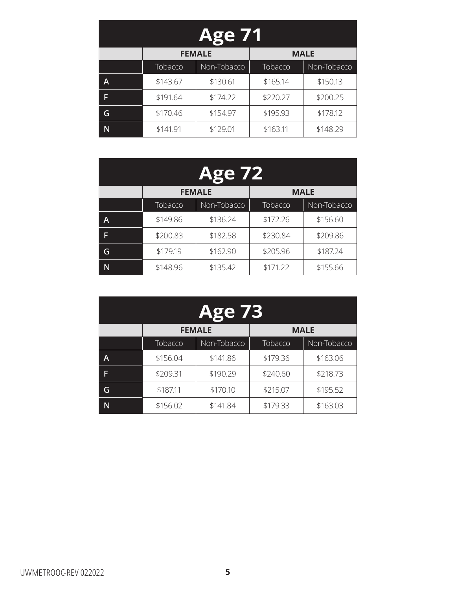| <b>Age 71</b> |                              |             |          |             |  |  |
|---------------|------------------------------|-------------|----------|-------------|--|--|
|               | <b>MALE</b><br><b>FEMALE</b> |             |          |             |  |  |
|               | Tobacco                      | Non-Tobacco | Tobacco  | Non-Tobacco |  |  |
| A             | \$143.67                     | \$130.61    | \$165.14 | \$150.13    |  |  |
| F             | \$191.64                     | \$174.22    | \$220.27 | \$200.25    |  |  |
| G             | \$170.46                     | \$154.97    | \$195.93 | \$178.12    |  |  |
|               | \$141.91                     | \$129.01    | \$163.11 | \$148.29    |  |  |

| <b>Age 72</b> |          |                              |          |             |  |  |
|---------------|----------|------------------------------|----------|-------------|--|--|
|               |          | <b>MALE</b><br><b>FEMALE</b> |          |             |  |  |
|               | Tobacco  | Non-Tobacco                  | Tobacco  | Non-Tobacco |  |  |
| A             | \$149.86 | \$136.24                     | \$172.26 | \$156.60    |  |  |
| F             | \$200.83 | \$182.58                     | \$230.84 | \$209.86    |  |  |
| G             | \$179.19 | \$162.90                     | \$205.96 | \$187.24    |  |  |
| N             | \$148.96 | \$135.42                     | \$171.22 | \$155.66    |  |  |

| <b>Age 73</b> |                              |             |          |             |  |  |
|---------------|------------------------------|-------------|----------|-------------|--|--|
|               | <b>FEMALE</b><br><b>MALE</b> |             |          |             |  |  |
|               | Tobacco                      | Non-Tobacco | Tobacco  | Non-Tobacco |  |  |
| A             | \$156.04                     | \$141.86    | \$179.36 | \$163.06    |  |  |
| F             | \$209.31                     | \$190.29    | \$240.60 | \$218.73    |  |  |
| G             | \$187.11                     | \$170.10    | \$215.07 | \$195.52    |  |  |
|               | \$156.02                     | \$141.84    | \$179.33 | \$163.03    |  |  |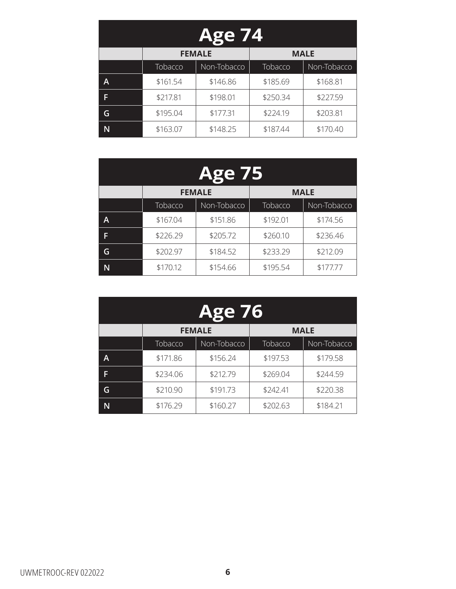| <b>Age 74</b> |                              |             |                |             |  |  |
|---------------|------------------------------|-------------|----------------|-------------|--|--|
|               | <b>FEMALE</b><br><b>MALE</b> |             |                |             |  |  |
|               | Tobacco                      | Non-Tobacco | <b>Tobacco</b> | Non-Tobacco |  |  |
| A             | \$161.54                     | \$146.86    | \$185.69       | \$168.81    |  |  |
| F             | \$217.81                     | \$198.01    | \$250.34       | \$227.59    |  |  |
| G             | \$195.04                     | \$177.31    | \$224.19       | \$203.81    |  |  |
|               | \$163.07                     | \$148.25    | \$187.44       | \$170.40    |  |  |

| <b>Age 75</b> |          |                              |          |             |  |  |
|---------------|----------|------------------------------|----------|-------------|--|--|
|               |          | <b>FEMALE</b><br><b>MALE</b> |          |             |  |  |
|               | Tobacco  | Non-Tobacco                  | Tobacco  | Non-Tobacco |  |  |
| A             | \$167.04 | \$151.86                     | \$192.01 | \$174.56    |  |  |
| F             | \$226.29 | \$205.72                     | \$260.10 | \$236.46    |  |  |
| G             | \$202.97 | \$184.52                     | \$233.29 | \$212.09    |  |  |
| N             | \$170.12 | \$154.66                     | \$195.54 | \$177.77    |  |  |

| <b>Age 76</b> |                              |             |          |             |  |
|---------------|------------------------------|-------------|----------|-------------|--|
|               | <b>MALE</b><br><b>FEMALE</b> |             |          |             |  |
|               | Tobacco                      | Non-Tobacco | Tobacco  | Non-Tobacco |  |
| A             | \$171.86                     | \$156.24    | \$197.53 | \$179.58    |  |
| F             | \$234.06                     | \$212.79    | \$269.04 | \$244.59    |  |
| G             | \$210.90                     | \$191.73    | \$242.41 | \$220.38    |  |
|               | \$176.29                     | \$160.27    | \$202.63 | \$184.21    |  |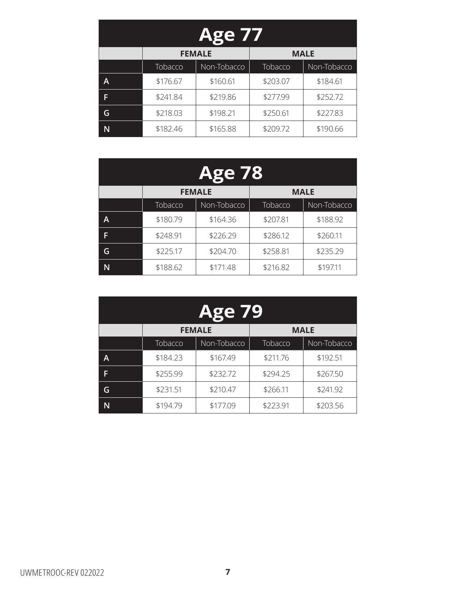| <b>Age 77</b> |                              |             |          |             |  |
|---------------|------------------------------|-------------|----------|-------------|--|
|               | <b>MALE</b><br><b>FEMALE</b> |             |          |             |  |
|               | Tobacco                      | Non-Tobacco | Tobacco  | Non-Tobacco |  |
| A             | \$176.67                     | \$160.61    | \$203.07 | \$184.61    |  |
| F             | \$241.84                     | \$219.86    | \$277.99 | \$252.72    |  |
| G             | \$218.03                     | \$198.21    | \$250.61 | \$227.83    |  |
|               | \$182.46                     | \$165.88    | \$209.72 | \$190.66    |  |

| <b>Age 78</b> |                              |             |          |             |
|---------------|------------------------------|-------------|----------|-------------|
|               | <b>FEMALE</b><br><b>MALE</b> |             |          |             |
|               | Tobacco                      | Non-Tobacco | Tobacco  | Non-Tobacco |
| A             | \$180.79                     | \$164.36    | \$207.81 | \$188.92    |
| F             | \$248.91                     | \$226.29    | \$286.12 | \$260.11    |
| G             | \$225.17                     | \$204.70    | \$258.81 | \$235.29    |
| N             | \$188.62                     | \$171.48    | \$216.82 | \$197.11    |

| <b>Age 79</b> |                              |             |          |             |  |
|---------------|------------------------------|-------------|----------|-------------|--|
|               | <b>MALE</b><br><b>FEMALE</b> |             |          |             |  |
|               | Tobacco                      | Non-Tobacco | Tobacco  | Non-Tobacco |  |
| A             | \$184.23                     | \$167.49    | \$211.76 | \$192.51    |  |
| F             | \$255.99                     | \$232.72    | \$294.25 | \$267.50    |  |
| G             | \$231.51                     | \$210.47    | \$266.11 | \$241.92    |  |
|               | \$194.79                     | \$177.09    | \$223.91 | \$203.56    |  |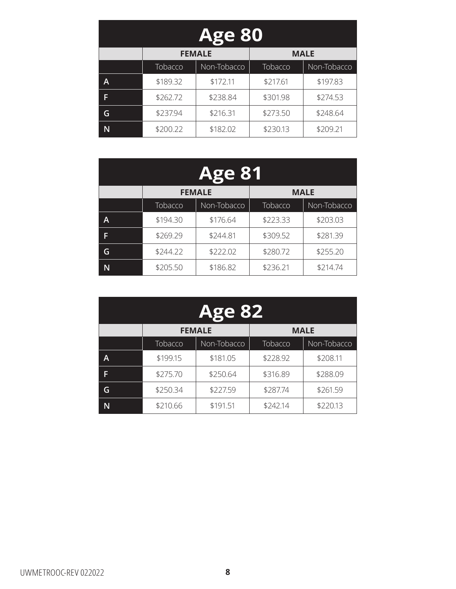| <b>Age 80</b> |                              |             |          |             |  |
|---------------|------------------------------|-------------|----------|-------------|--|
|               | <b>FEMALE</b><br><b>MALE</b> |             |          |             |  |
|               | Tobacco                      | Non-Tobacco | Tobacco  | Non-Tobacco |  |
| A             | \$189.32                     | \$172.11    | \$217.61 | \$197.83    |  |
| F             | \$262.72                     | \$238.84    | \$301.98 | \$274.53    |  |
| G             | \$237.94                     | \$216.31    | \$273.50 | \$248.64    |  |
|               | \$200.22                     | \$182.02    | \$230.13 | \$209.21    |  |

| <b>Age 81</b> |                              |             |          |             |
|---------------|------------------------------|-------------|----------|-------------|
|               | <b>FEMALE</b><br><b>MALE</b> |             |          |             |
|               | Tobacco                      | Non-Tobacco | Tobacco  | Non-Tobacco |
| A             | \$194.30                     | \$176.64    | \$223.33 | \$203.03    |
| F             | \$269.29                     | \$244.81    | \$309.52 | \$281.39    |
| G             | \$244.22                     | \$222.02    | \$280.72 | \$255.20    |
| N             | \$205.50                     | \$186.82    | \$236.21 | \$214.74    |

| <b>Age 82</b> |                              |             |          |             |  |
|---------------|------------------------------|-------------|----------|-------------|--|
|               | <b>MALE</b><br><b>FEMALE</b> |             |          |             |  |
|               | Tobacco                      | Non-Tobacco | Tobacco  | Non-Tobacco |  |
| A             | \$199.15                     | \$181.05    | \$228.92 | \$208.11    |  |
| F             | \$275.70                     | \$250.64    | \$316.89 | \$288.09    |  |
| G             | \$250.34                     | \$227.59    | \$287.74 | \$261.59    |  |
|               | \$210.66                     | \$191.51    | \$242.14 | \$220.13    |  |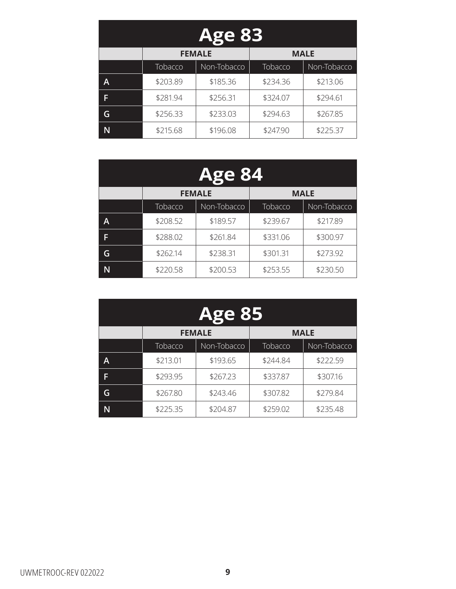| <b>Age 83</b> |                              |             |          |             |
|---------------|------------------------------|-------------|----------|-------------|
|               | <b>FEMALE</b><br><b>MALE</b> |             |          |             |
|               | Tobacco                      | Non-Tobacco | Tobacco  | Non-Tobacco |
| A             | \$203.89                     | \$185.36    | \$234.36 | \$213.06    |
| F             | \$281.94                     | \$256.31    | \$324.07 | \$294.61    |
| G             | \$256.33                     | \$233.03    | \$294.63 | \$267.85    |
|               | \$215.68                     | \$196.08    | \$247.90 | \$225.37    |

| <b>Age 84</b> |                              |             |          |             |
|---------------|------------------------------|-------------|----------|-------------|
|               | <b>MALE</b><br><b>FEMALE</b> |             |          |             |
|               | Tobacco                      | Non-Tobacco | Tobacco  | Non-Tobacco |
| A             | \$208.52                     | \$189.57    | \$239.67 | \$217.89    |
| F             | \$288.02                     | \$261.84    | \$331.06 | \$300.97    |
| G             | \$262.14                     | \$238.31    | \$301.31 | \$273.92    |
|               | \$220.58                     | \$200.53    | \$253.55 | \$230.50    |

| <b>Age 85</b> |                              |             |          |             |  |
|---------------|------------------------------|-------------|----------|-------------|--|
|               | <b>FEMALE</b><br><b>MALE</b> |             |          |             |  |
|               | Tobacco                      | Non-Tobacco | Tobacco  | Non-Tobacco |  |
| A             | \$213.01                     | \$193.65    | \$244.84 | \$222.59    |  |
| F             | \$293.95                     | \$267.23    | \$337.87 | \$307.16    |  |
| G             | \$267.80                     | \$243.46    | \$307.82 | \$279.84    |  |
|               | \$225.35                     | \$204.87    | \$259.02 | \$235.48    |  |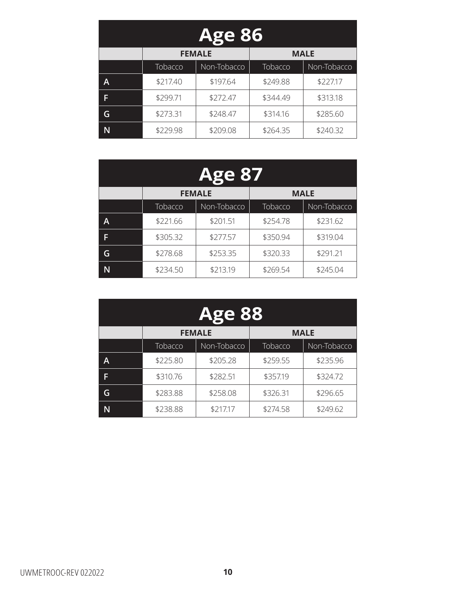| <b>Age 86</b> |                              |             |          |             |
|---------------|------------------------------|-------------|----------|-------------|
|               | <b>FEMALE</b><br><b>MALE</b> |             |          |             |
|               | Tobacco                      | Non-Tobacco | Tobacco  | Non-Tobacco |
| A             | \$217.40                     | \$197.64    | \$249.88 | \$227.17    |
| F             | \$299.71                     | \$272.47    | \$344.49 | \$313.18    |
| G             | \$273.31                     | \$248.47    | \$314.16 | \$285.60    |
|               | \$229.98                     | \$209.08    | \$264.35 | \$240.32    |

| <b>Age 87</b> |                              |             |          |             |
|---------------|------------------------------|-------------|----------|-------------|
|               | <b>MALE</b><br><b>FEMALE</b> |             |          |             |
|               | Tobacco                      | Non-Tobacco | Tobacco  | Non-Tobacco |
| A             | \$221.66                     | \$201.51    | \$254.78 | \$231.62    |
| F             | \$305.32                     | \$277.57    | \$350.94 | \$319.04    |
| G             | \$278.68                     | \$253.35    | \$320.33 | \$291.21    |
|               | \$234.50                     | \$213.19    | \$269.54 | \$245.04    |

| <b>Age 88</b> |                              |             |          |             |
|---------------|------------------------------|-------------|----------|-------------|
|               | <b>FEMALE</b><br><b>MALE</b> |             |          |             |
|               | Tobacco                      | Non-Tobacco | Tobacco  | Non-Tobacco |
| A             | \$225.80                     | \$205.28    | \$259.55 | \$235.96    |
| F             | \$310.76                     | \$282.51    | \$357.19 | \$324.72    |
| G             | \$283.88                     | \$258.08    | \$326.31 | \$296.65    |
|               | \$238.88                     | \$217.17    | \$274.58 | \$249.62    |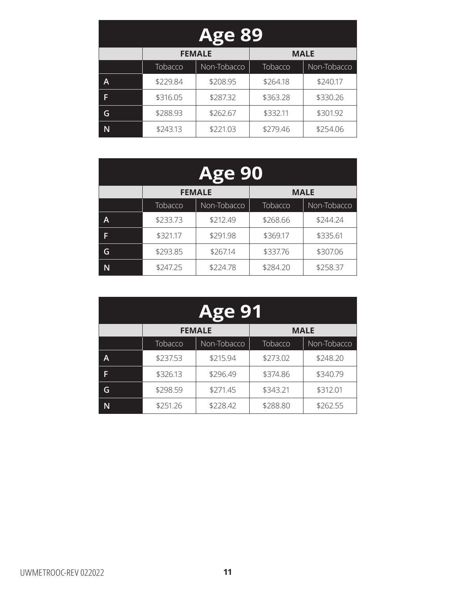| <b>Age 89</b> |                              |             |          |             |  |
|---------------|------------------------------|-------------|----------|-------------|--|
|               | <b>FEMALE</b><br><b>MALE</b> |             |          |             |  |
|               | Tobacco                      | Non-Tobacco | Tobacco  | Non-Tobacco |  |
| A             | \$229.84                     | \$208.95    | \$264.18 | \$240.17    |  |
| F             | \$316.05                     | \$287.32    | \$363.28 | \$330.26    |  |
| G             | \$288.93                     | \$262.67    | \$332.11 | \$301.92    |  |
|               | \$243.13                     | \$221.03    | \$279.46 | \$254.06    |  |

| <b>Age 90</b> |                              |             |          |             |
|---------------|------------------------------|-------------|----------|-------------|
|               | <b>FEMALE</b><br><b>MALE</b> |             |          |             |
|               | Tobacco                      | Non-Tobacco | Tobacco  | Non-Tobacco |
| A             | \$233.73                     | \$212.49    | \$268.66 | \$244.24    |
| F             | \$321.17                     | \$291.98    | \$369.17 | \$335.61    |
| G             | \$293.85                     | \$267.14    | \$337.76 | \$307.06    |
| N             | \$247.25                     | \$224.78    | \$284.20 | \$258.37    |

| <b>Age 91</b> |                              |             |          |             |  |
|---------------|------------------------------|-------------|----------|-------------|--|
|               | <b>MALE</b><br><b>FEMALE</b> |             |          |             |  |
|               | Tobacco                      | Non-Tobacco | Tobacco  | Non-Tobacco |  |
| A             | \$237.53                     | \$215.94    | \$273.02 | \$248.20    |  |
| F             | \$326.13                     | \$296.49    | \$374.86 | \$340.79    |  |
| G             | \$298.59                     | \$271.45    | \$343.21 | \$312.01    |  |
|               | \$251.26                     | \$228.42    | \$288.80 | \$262.55    |  |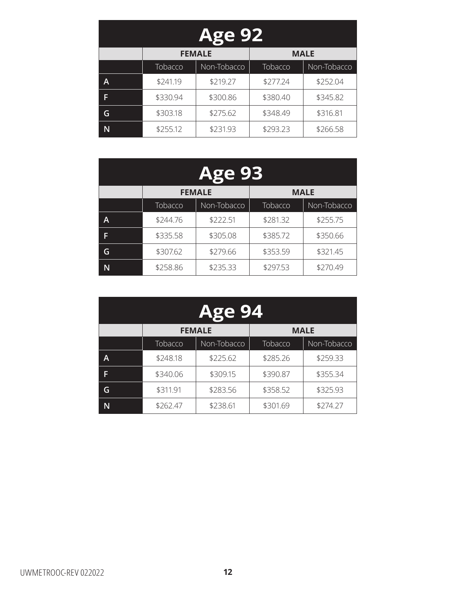| <b>Age 92</b> |                              |             |          |             |  |
|---------------|------------------------------|-------------|----------|-------------|--|
|               | <b>FEMALE</b><br><b>MALE</b> |             |          |             |  |
|               | Tobacco                      | Non-Tobacco | Tobacco  | Non-Tobacco |  |
| A             | \$241.19                     | \$219.27    | \$277.24 | \$252.04    |  |
| F             | \$330.94                     | \$300.86    | \$380.40 | \$345.82    |  |
| G             | \$303.18                     | \$275.62    | \$348.49 | \$316.81    |  |
|               | \$255.12                     | \$231.93    | \$293.23 | \$266.58    |  |

| <b>Age 93</b> |                              |             |          |             |
|---------------|------------------------------|-------------|----------|-------------|
|               | <b>FEMALE</b><br><b>MALE</b> |             |          |             |
|               | Tobacco                      | Non-Tobacco | Tobacco  | Non-Tobacco |
| A             | \$244.76                     | \$222.51    | \$281.32 | \$255.75    |
| F             | \$335.58                     | \$305.08    | \$385.72 | \$350.66    |
| G             | \$307.62                     | \$279.66    | \$353.59 | \$321.45    |
| N             | \$258.86                     | \$235.33    | \$297.53 | \$270.49    |

| <b>Age 94</b> |                              |             |          |             |  |
|---------------|------------------------------|-------------|----------|-------------|--|
|               | <b>MALE</b><br><b>FEMALE</b> |             |          |             |  |
|               | Tobacco                      | Non-Tobacco | Tobacco  | Non-Tobacco |  |
| A             | \$248.18                     | \$225.62    | \$285.26 | \$259.33    |  |
| ß             | \$340.06                     | \$309.15    | \$390.87 | \$355.34    |  |
| G             | \$311.91                     | \$283.56    | \$358.52 | \$325.93    |  |
|               | \$262.47                     | \$238.61    | \$301.69 | \$274.27    |  |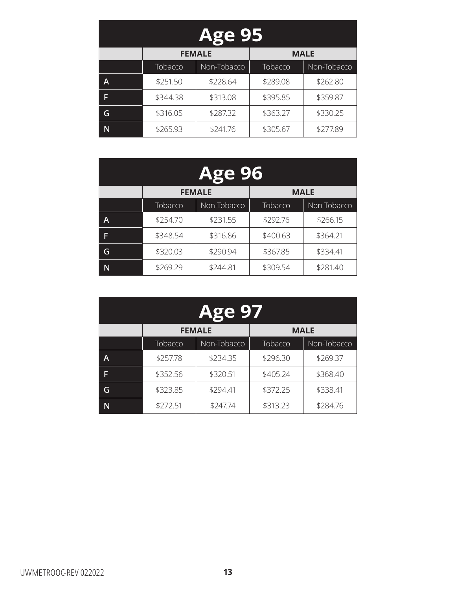| <b>Age 95</b> |                              |             |          |             |  |
|---------------|------------------------------|-------------|----------|-------------|--|
|               | <b>FEMALE</b><br><b>MALE</b> |             |          |             |  |
|               | Tobacco                      | Non-Tobacco | Tobacco  | Non-Tobacco |  |
| A             | \$251.50                     | \$228.64    | \$289.08 | \$262.80    |  |
| F             | \$344.38                     | \$313.08    | \$395.85 | \$359.87    |  |
| G             | \$316.05                     | \$287.32    | \$363.27 | \$330.25    |  |
|               | \$265.93                     | \$241.76    | \$305.67 | \$277.89    |  |

| <b>Age 96</b> |                              |             |          |             |
|---------------|------------------------------|-------------|----------|-------------|
|               | <b>FEMALE</b><br><b>MALE</b> |             |          |             |
|               | Tobacco                      | Non-Tobacco | Tobacco  | Non-Tobacco |
| A             | \$254.70                     | \$231.55    | \$292.76 | \$266.15    |
| F             | \$348.54                     | \$316.86    | \$400.63 | \$364.21    |
| G             | \$320.03                     | \$290.94    | \$367.85 | \$334.41    |
| N             | \$269.29                     | \$244.81    | \$309.54 | \$281.40    |

| <b>Age 97</b> |                              |             |          |             |  |
|---------------|------------------------------|-------------|----------|-------------|--|
|               | <b>MALE</b><br><b>FEMALE</b> |             |          |             |  |
|               | Tobacco                      | Non-Tobacco | Tobacco  | Non-Tobacco |  |
| A             | \$257.78                     | \$234.35    | \$296.30 | \$269.37    |  |
| F             | \$352.56                     | \$320.51    | \$405.24 | \$368.40    |  |
| G             | \$323.85                     | \$294.41    | \$372.25 | \$338.41    |  |
|               | \$272.51                     | \$247.74    | \$313.23 | \$284.76    |  |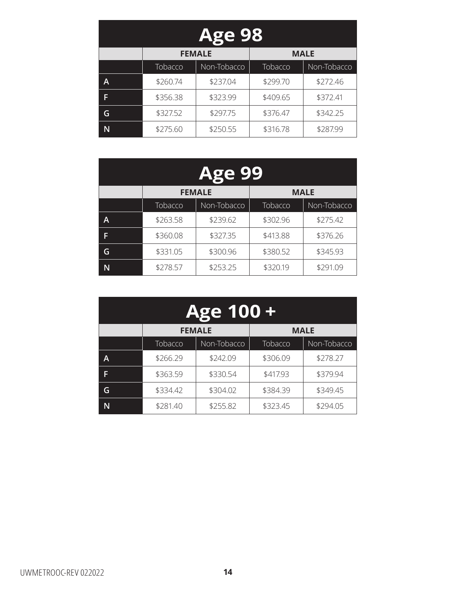| <b>Age 98</b> |                              |             |          |             |  |
|---------------|------------------------------|-------------|----------|-------------|--|
|               | <b>FEMALE</b><br><b>MALE</b> |             |          |             |  |
|               | Tobacco                      | Non-Tobacco | Tobacco  | Non-Tobacco |  |
| A             | \$260.74                     | \$237.04    | \$299.70 | \$272.46    |  |
| F             | \$356.38                     | \$323.99    | \$409.65 | \$372.41    |  |
| G             | \$327.52                     | \$297.75    | \$376.47 | \$342.25    |  |
|               | \$275.60                     | \$250.55    | \$316.78 | \$287.99    |  |

| <b>Age 99</b> |                              |             |          |             |
|---------------|------------------------------|-------------|----------|-------------|
|               | <b>FEMALE</b><br><b>MALE</b> |             |          |             |
|               | Tobacco                      | Non-Tobacco | Tobacco  | Non-Tobacco |
| A             | \$263.58                     | \$239.62    | \$302.96 | \$275.42    |
| F             | \$360.08                     | \$327.35    | \$413.88 | \$376.26    |
| G             | \$331.05                     | \$300.96    | \$380.52 | \$345.93    |
| N             | \$278.57                     | \$253.25    | \$320.19 | \$291.09    |

| Age 100 + |                              |             |          |             |  |
|-----------|------------------------------|-------------|----------|-------------|--|
|           | <b>FEMALE</b><br><b>MALE</b> |             |          |             |  |
|           | Tobacco                      | Non-Tobacco | Tobacco  | Non-Tobacco |  |
| A         | \$266.29                     | \$242.09    | \$306.09 | \$278.27    |  |
| F         | \$363.59                     | \$330.54    | \$417.93 | \$379.94    |  |
| G         | \$334.42                     | \$304.02    | \$384.39 | \$349.45    |  |
|           | \$281.40                     | \$255.82    | \$323.45 | \$294.05    |  |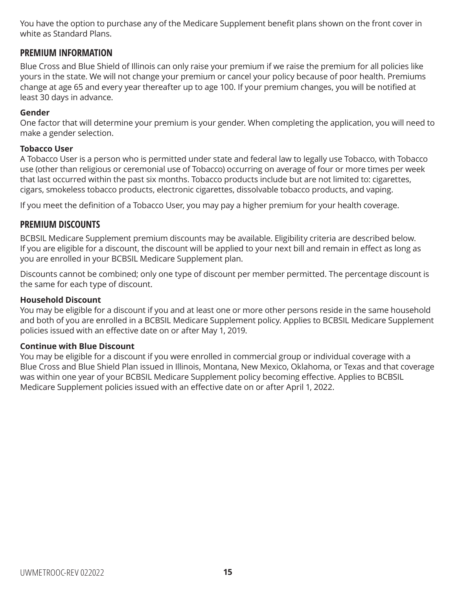You have the option to purchase any of the Medicare Supplement benefit plans shown on the front cover in white as Standard Plans.

### **PREMIUM INFORMATION**

Blue Cross and Blue Shield of Illinois can only raise your premium if we raise the premium for all policies like yours in the state. We will not change your premium or cancel your policy because of poor health. Premiums change at age 65 and every year thereafter up to age 100. If your premium changes, you will be notified at least 30 days in advance.

#### **Gender**

One factor that will determine your premium is your gender. When completing the application, you will need to make a gender selection.

#### **Tobacco User**

A Tobacco User is a person who is permitted under state and federal law to legally use Tobacco, with Tobacco use (other than religious or ceremonial use of Tobacco) occurring on average of four or more times per week that last occurred within the past six months. Tobacco products include but are not limited to: cigarettes, cigars, smokeless tobacco products, electronic cigarettes, dissolvable tobacco products, and vaping.

If you meet the definition of a Tobacco User, you may pay a higher premium for your health coverage.

### **PREMIUM DISCOUNTS**

BCBSIL Medicare Supplement premium discounts may be available. Eligibility criteria are described below. If you are eligible for a discount, the discount will be applied to your next bill and remain in effect as long as you are enrolled in your BCBSIL Medicare Supplement plan.

Discounts cannot be combined; only one type of discount per member permitted. The percentage discount is the same for each type of discount.

#### **Household Discount**

You may be eligible for a discount if you and at least one or more other persons reside in the same household and both of you are enrolled in a BCBSIL Medicare Supplement policy. Applies to BCBSIL Medicare Supplement policies issued with an effective date on or after May 1, 2019.

#### **Continue with Blue Discount**

You may be eligible for a discount if you were enrolled in commercial group or individual coverage with a Blue Cross and Blue Shield Plan issued in Illinois, Montana, New Mexico, Oklahoma, or Texas and that coverage was within one year of your BCBSIL Medicare Supplement policy becoming effective. Applies to BCBSIL Medicare Supplement policies issued with an effective date on or after April 1, 2022.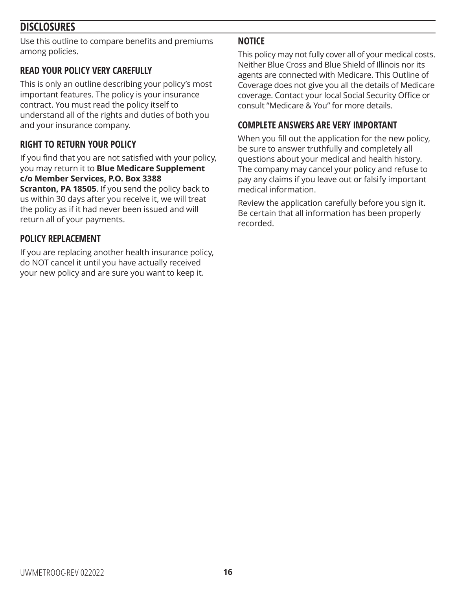## **DISCLOSURES**

Use this outline to compare benefits and premiums among policies.

### **READ YOUR POLICY VERY CAREFULLY**

This is only an outline describing your policy's most important features. The policy is your insurance contract. You must read the policy itself to understand all of the rights and duties of both you and your insurance company.

### **RIGHT TO RETURN YOUR POLICY**

If you find that you are not satisfied with your policy, you may return it to **Blue Medicare Supplement c/o Member Services, P.O. Box 3388** 

**Scranton, PA 18505**. If you send the policy back to us within 30 days after you receive it, we will treat the policy as if it had never been issued and will return all of your payments.

### **POLICY REPLACEMENT**

If you are replacing another health insurance policy, do NOT cancel it until you have actually received your new policy and are sure you want to keep it.

### **NOTICE**

This policy may not fully cover all of your medical costs. Neither Blue Cross and Blue Shield of Illinois nor its agents are connected with Medicare. This Outline of Coverage does not give you all the details of Medicare coverage. Contact your local Social Security Office or consult "Medicare & You" for more details.

### **COMPLETE ANSWERS ARE VERY IMPORTANT**

When you fill out the application for the new policy, be sure to answer truthfully and completely all questions about your medical and health history. The company may cancel your policy and refuse to pay any claims if you leave out or falsify important medical information.

Review the application carefully before you sign it. Be certain that all information has been properly recorded.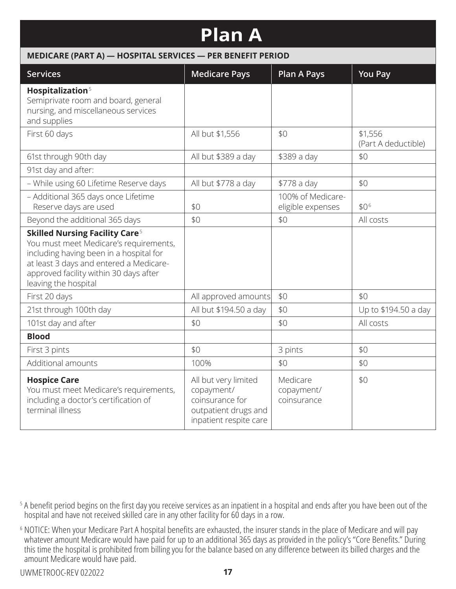## **Plan A**

#### **MEDICARE (PART A) — HOSPITAL SERVICES — PER BENEFIT PERIOD**

| <b>Services</b>                                                                                                                                                                                                                                    | <b>Medicare Pays</b>                                                                                    | <b>Plan A Pays</b>                     | <b>You Pay</b>                 |
|----------------------------------------------------------------------------------------------------------------------------------------------------------------------------------------------------------------------------------------------------|---------------------------------------------------------------------------------------------------------|----------------------------------------|--------------------------------|
| Hospitalization <sup>5</sup><br>Semiprivate room and board, general<br>nursing, and miscellaneous services<br>and supplies                                                                                                                         |                                                                                                         |                                        |                                |
| First 60 days                                                                                                                                                                                                                                      | All but \$1,556                                                                                         | \$0                                    | \$1,556<br>(Part A deductible) |
| 61st through 90th day                                                                                                                                                                                                                              | All but \$389 a day                                                                                     | \$389 a day                            | \$0                            |
| 91st day and after:                                                                                                                                                                                                                                |                                                                                                         |                                        |                                |
| - While using 60 Lifetime Reserve days                                                                                                                                                                                                             | All but \$778 a day                                                                                     | \$778 a day                            | \$0                            |
| - Additional 365 days once Lifetime<br>Reserve days are used                                                                                                                                                                                       | \$0                                                                                                     | 100% of Medicare-<br>eligible expenses | \$06                           |
| Beyond the additional 365 days                                                                                                                                                                                                                     | \$0                                                                                                     | \$0                                    | All costs                      |
| <b>Skilled Nursing Facility Care<sup>5</sup></b><br>You must meet Medicare's requirements,<br>including having been in a hospital for<br>at least 3 days and entered a Medicare-<br>approved facility within 30 days after<br>leaving the hospital |                                                                                                         |                                        |                                |
| First 20 days                                                                                                                                                                                                                                      | All approved amounts                                                                                    | \$0                                    | \$0                            |
| 21st through 100th day                                                                                                                                                                                                                             | All but \$194.50 a day                                                                                  | \$0                                    | Up to \$194.50 a day           |
| 101st day and after                                                                                                                                                                                                                                | \$0                                                                                                     | \$0                                    | All costs                      |
| <b>Blood</b>                                                                                                                                                                                                                                       |                                                                                                         |                                        |                                |
| First 3 pints                                                                                                                                                                                                                                      | \$0                                                                                                     | 3 pints                                | \$0                            |
| Additional amounts                                                                                                                                                                                                                                 | 100%                                                                                                    | \$0                                    | \$0                            |
| <b>Hospice Care</b><br>You must meet Medicare's requirements,<br>including a doctor's certification of<br>terminal illness                                                                                                                         | All but very limited<br>copayment/<br>coinsurance for<br>outpatient drugs and<br>inpatient respite care | Medicare<br>copayment/<br>coinsurance  | \$0                            |

<sup>6</sup> NOTICE: When your Medicare Part A hospital benefits are exhausted, the insurer stands in the place of Medicare and will pay whatever amount Medicare would have paid for up to an additional 365 days as provided in the policy's "Core Benefits." During this time the hospital is prohibited from billing you for the balance based on any difference between its billed charges and the amount Medicare would have paid.

<sup>&</sup>lt;sup>5</sup> A benefit period begins on the first day you receive services as an inpatient in a hospital and ends after you have been out of the hospital and have not received skilled care in any other facility for 60 days in a row.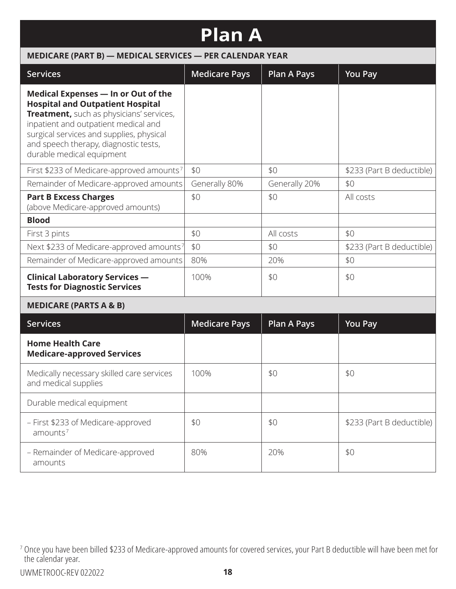| <b>Plan A</b>                                                                                                                                                                                                                                                                        |                      |                    |                           |  |  |  |
|--------------------------------------------------------------------------------------------------------------------------------------------------------------------------------------------------------------------------------------------------------------------------------------|----------------------|--------------------|---------------------------|--|--|--|
| MEDICARE (PART B) - MEDICAL SERVICES - PER CALENDAR YEAR                                                                                                                                                                                                                             |                      |                    |                           |  |  |  |
| <b>Services</b>                                                                                                                                                                                                                                                                      | <b>Medicare Pays</b> | <b>Plan A Pays</b> | <b>You Pay</b>            |  |  |  |
| Medical Expenses - In or Out of the<br><b>Hospital and Outpatient Hospital</b><br>Treatment, such as physicians' services,<br>inpatient and outpatient medical and<br>surgical services and supplies, physical<br>and speech therapy, diagnostic tests,<br>durable medical equipment |                      |                    |                           |  |  |  |
| First \$233 of Medicare-approved amounts <sup>7</sup>                                                                                                                                                                                                                                | \$0                  | \$0                | \$233 (Part B deductible) |  |  |  |
| Remainder of Medicare-approved amounts                                                                                                                                                                                                                                               | Generally 80%        | Generally 20%      | \$0                       |  |  |  |
| <b>Part B Excess Charges</b><br>(above Medicare-approved amounts)                                                                                                                                                                                                                    | \$0                  | \$0                | All costs                 |  |  |  |
| <b>Blood</b>                                                                                                                                                                                                                                                                         |                      |                    |                           |  |  |  |
| First 3 pints                                                                                                                                                                                                                                                                        | \$0                  | All costs          | \$0                       |  |  |  |
| Next \$233 of Medicare-approved amounts7                                                                                                                                                                                                                                             | \$0                  | \$0                | \$233 (Part B deductible) |  |  |  |
| Remainder of Medicare-approved amounts                                                                                                                                                                                                                                               | 80%                  | 20%                | \$0                       |  |  |  |
| <b>Clinical Laboratory Services -</b><br><b>Tests for Diagnostic Services</b>                                                                                                                                                                                                        | 100%                 | \$0                | \$0                       |  |  |  |
| <b>MEDICARE (PARTS A &amp; B)</b>                                                                                                                                                                                                                                                    |                      |                    |                           |  |  |  |
| <b>Services</b>                                                                                                                                                                                                                                                                      | <b>Medicare Pays</b> | <b>Plan A Pays</b> | <b>You Pay</b>            |  |  |  |
| <b>Home Health Care</b><br><b>Medicare-approved Services</b>                                                                                                                                                                                                                         |                      |                    |                           |  |  |  |
| Medically necessary skilled care services<br>and medical supplies                                                                                                                                                                                                                    | 100%                 | \$0                | \$0                       |  |  |  |

\$0 \$233 (Part B deductible)

80% | 20% | \$0

Durable medical equipment

amounts<sup>7</sup>

amounts

– First \$233 of Medicare-approved

– Remainder of Medicare-approved

<sup>7</sup> Once you have been billed \$233 of Medicare-approved amounts for covered services, your Part B deductible will have been met for the calendar year.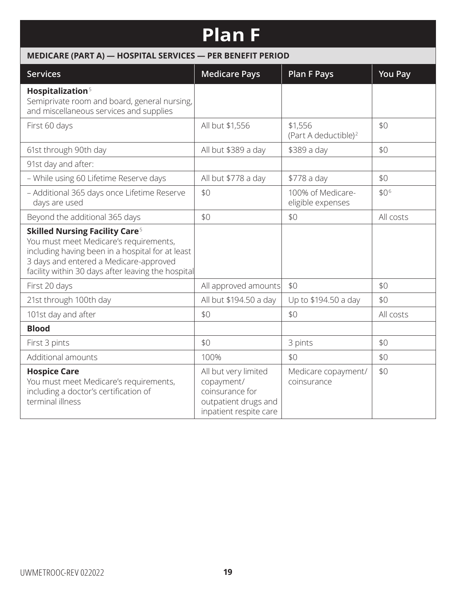## **Plan F**

## **MEDICARE (PART A) — HOSPITAL SERVICES — PER BENEFIT PERIOD**

| <b>Services</b>                                                                                                                                                                                                                                | <b>Medicare Pays</b>                                                                                    | <b>Plan F Pays</b>                          | <b>You Pay</b> |
|------------------------------------------------------------------------------------------------------------------------------------------------------------------------------------------------------------------------------------------------|---------------------------------------------------------------------------------------------------------|---------------------------------------------|----------------|
| Hospitalization <sup>5</sup><br>Semiprivate room and board, general nursing,<br>and miscellaneous services and supplies                                                                                                                        |                                                                                                         |                                             |                |
| First 60 days                                                                                                                                                                                                                                  | All but \$1,556                                                                                         | \$1,556<br>(Part A deductible) <sup>2</sup> | \$0            |
| 61st through 90th day                                                                                                                                                                                                                          | All but \$389 a day                                                                                     | \$389 a day                                 | \$0            |
| 91st day and after:                                                                                                                                                                                                                            |                                                                                                         |                                             |                |
| - While using 60 Lifetime Reserve days                                                                                                                                                                                                         | All but \$778 a day                                                                                     | \$778 a day                                 | \$0            |
| - Additional 365 days once Lifetime Reserve<br>days are used                                                                                                                                                                                   | \$0                                                                                                     | 100% of Medicare-<br>eligible expenses      | \$06           |
| Beyond the additional 365 days                                                                                                                                                                                                                 | \$0                                                                                                     | \$0                                         | All costs      |
| <b>Skilled Nursing Facility Care<sup>5</sup></b><br>You must meet Medicare's requirements,<br>including having been in a hospital for at least<br>3 days and entered a Medicare-approved<br>facility within 30 days after leaving the hospital |                                                                                                         |                                             |                |
| First 20 days                                                                                                                                                                                                                                  | All approved amounts                                                                                    | \$0                                         | \$0            |
| 21st through 100th day                                                                                                                                                                                                                         | All but \$194.50 a day                                                                                  | Up to \$194.50 a day                        | \$0            |
| 101st day and after                                                                                                                                                                                                                            | \$0                                                                                                     | \$0                                         | All costs      |
| <b>Blood</b>                                                                                                                                                                                                                                   |                                                                                                         |                                             |                |
| First 3 pints                                                                                                                                                                                                                                  | \$0                                                                                                     | 3 pints                                     | \$0            |
| Additional amounts                                                                                                                                                                                                                             | 100%                                                                                                    | \$0                                         | \$0            |
| <b>Hospice Care</b><br>You must meet Medicare's requirements,<br>including a doctor's certification of<br>terminal illness                                                                                                                     | All but very limited<br>copayment/<br>coinsurance for<br>outpatient drugs and<br>inpatient respite care | Medicare copayment/<br>coinsurance          | \$0            |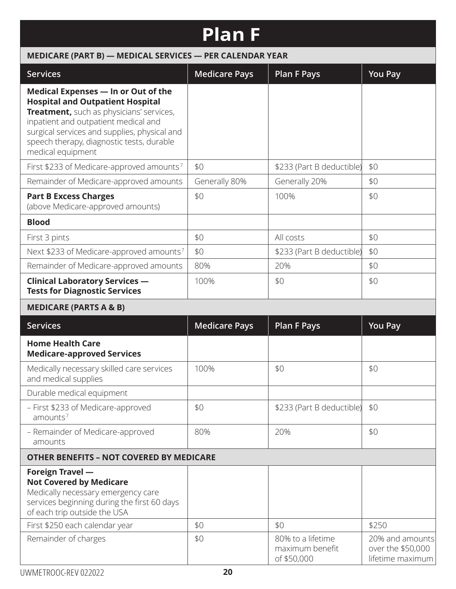# **Plan F**

| MEDICARE (PART B) - MEDICAL SERVICES - PER CALENDAR YEAR                                                                                                                                                                                                                             |                      |                                                     |                                                          |  |  |
|--------------------------------------------------------------------------------------------------------------------------------------------------------------------------------------------------------------------------------------------------------------------------------------|----------------------|-----------------------------------------------------|----------------------------------------------------------|--|--|
| <b>Services</b>                                                                                                                                                                                                                                                                      | <b>Medicare Pays</b> | <b>Plan F Pays</b>                                  | <b>You Pay</b>                                           |  |  |
| Medical Expenses - In or Out of the<br><b>Hospital and Outpatient Hospital</b><br>Treatment, such as physicians' services,<br>inpatient and outpatient medical and<br>surgical services and supplies, physical and<br>speech therapy, diagnostic tests, durable<br>medical equipment |                      |                                                     |                                                          |  |  |
| First \$233 of Medicare-approved amounts <sup>7</sup>                                                                                                                                                                                                                                | \$0                  | \$233 (Part B deductible)                           | \$0                                                      |  |  |
| Remainder of Medicare-approved amounts                                                                                                                                                                                                                                               | Generally 80%        | Generally 20%                                       | \$0                                                      |  |  |
| <b>Part B Excess Charges</b><br>(above Medicare-approved amounts)                                                                                                                                                                                                                    | \$0                  | 100%                                                | \$0                                                      |  |  |
| <b>Blood</b>                                                                                                                                                                                                                                                                         |                      |                                                     |                                                          |  |  |
| First 3 pints                                                                                                                                                                                                                                                                        | \$0                  | All costs                                           | \$0                                                      |  |  |
| Next \$233 of Medicare-approved amounts <sup>7</sup>                                                                                                                                                                                                                                 | \$0                  | \$233 (Part B deductible)                           | \$0                                                      |  |  |
| Remainder of Medicare-approved amounts                                                                                                                                                                                                                                               | 80%                  | 20%                                                 | \$0                                                      |  |  |
| <b>Clinical Laboratory Services -</b><br><b>Tests for Diagnostic Services</b>                                                                                                                                                                                                        | 100%                 | \$0                                                 | \$0                                                      |  |  |
| <b>MEDICARE (PARTS A &amp; B)</b>                                                                                                                                                                                                                                                    |                      |                                                     |                                                          |  |  |
| <b>Services</b>                                                                                                                                                                                                                                                                      | <b>Medicare Pays</b> | <b>Plan F Pays</b>                                  | <b>You Pay</b>                                           |  |  |
| <b>Home Health Care</b><br><b>Medicare-approved Services</b>                                                                                                                                                                                                                         |                      |                                                     |                                                          |  |  |
| Medically necessary skilled care services<br>and medical supplies                                                                                                                                                                                                                    | 100%                 | \$0                                                 | \$0                                                      |  |  |
| Durable medical equipment                                                                                                                                                                                                                                                            |                      |                                                     |                                                          |  |  |
| - First \$233 of Medicare-approved<br>amounts <sup>7</sup>                                                                                                                                                                                                                           | \$0                  | \$233 (Part B deductible)                           | \$0                                                      |  |  |
| - Remainder of Medicare-approved<br>amounts                                                                                                                                                                                                                                          | 80%                  | 20%                                                 | \$0                                                      |  |  |
| <b>OTHER BENEFITS - NOT COVERED BY MEDICARE</b>                                                                                                                                                                                                                                      |                      |                                                     |                                                          |  |  |
| <b>Foreign Travel -</b><br><b>Not Covered by Medicare</b><br>Medically necessary emergency care<br>services beginning during the first 60 days<br>of each trip outside the USA                                                                                                       |                      |                                                     |                                                          |  |  |
| First \$250 each calendar year                                                                                                                                                                                                                                                       | \$0                  | \$0                                                 | \$250                                                    |  |  |
| Remainder of charges                                                                                                                                                                                                                                                                 | \$0                  | 80% to a lifetime<br>maximum benefit<br>of \$50,000 | 20% and amounts<br>over the \$50,000<br>lifetime maximum |  |  |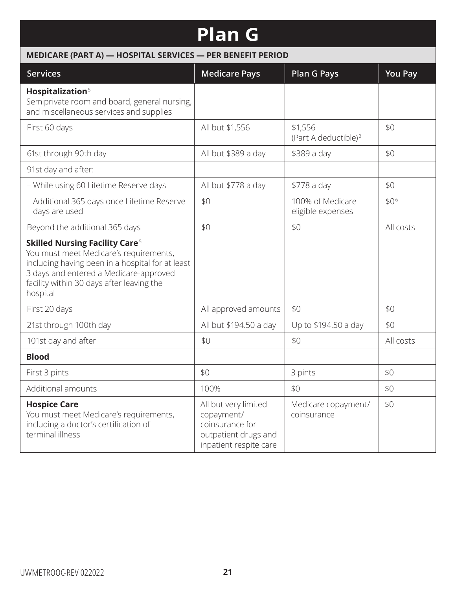## **Plan G**

| MEDICARE (PART A) - HOSPITAL SERVICES - PER BENEFIT PERIOD                                                                                                                                                                                        |                                                                                                         |                                             |                |  |  |
|---------------------------------------------------------------------------------------------------------------------------------------------------------------------------------------------------------------------------------------------------|---------------------------------------------------------------------------------------------------------|---------------------------------------------|----------------|--|--|
| <b>Services</b>                                                                                                                                                                                                                                   | <b>Medicare Pays</b>                                                                                    | <b>Plan G Pays</b>                          | <b>You Pay</b> |  |  |
| Hospitalization <sup>5</sup><br>Semiprivate room and board, general nursing,<br>and miscellaneous services and supplies                                                                                                                           |                                                                                                         |                                             |                |  |  |
| First 60 days                                                                                                                                                                                                                                     | All but \$1,556                                                                                         | \$1,556<br>(Part A deductible) <sup>2</sup> | \$0            |  |  |
| 61st through 90th day                                                                                                                                                                                                                             | All but \$389 a day                                                                                     | \$389 a day                                 | \$0            |  |  |
| 91st day and after:                                                                                                                                                                                                                               |                                                                                                         |                                             |                |  |  |
| - While using 60 Lifetime Reserve days                                                                                                                                                                                                            | All but \$778 a day                                                                                     | \$778 a day                                 | \$0            |  |  |
| - Additional 365 days once Lifetime Reserve<br>days are used                                                                                                                                                                                      | \$0                                                                                                     | 100% of Medicare-<br>eligible expenses      | \$06           |  |  |
| Beyond the additional 365 days                                                                                                                                                                                                                    | \$0                                                                                                     | \$0                                         | All costs      |  |  |
| <b>Skilled Nursing Facility Care<sup>5</sup></b><br>You must meet Medicare's requirements,<br>including having been in a hospital for at least<br>3 days and entered a Medicare-approved<br>facility within 30 days after leaving the<br>hospital |                                                                                                         |                                             |                |  |  |
| First 20 days                                                                                                                                                                                                                                     | All approved amounts                                                                                    | \$0                                         | \$0            |  |  |
| 21st through 100th day                                                                                                                                                                                                                            | All but \$194.50 a day                                                                                  | Up to \$194.50 a day                        | \$0            |  |  |
| 101st day and after                                                                                                                                                                                                                               | \$0                                                                                                     | \$0                                         | All costs      |  |  |
| <b>Blood</b>                                                                                                                                                                                                                                      |                                                                                                         |                                             |                |  |  |
| First 3 pints                                                                                                                                                                                                                                     | \$0                                                                                                     | 3 pints                                     | \$0            |  |  |
| Additional amounts                                                                                                                                                                                                                                | 100%                                                                                                    | \$0                                         | \$0            |  |  |
| <b>Hospice Care</b><br>You must meet Medicare's requirements,<br>including a doctor's certification of<br>terminal illness                                                                                                                        | All but very limited<br>copayment/<br>coinsurance for<br>outpatient drugs and<br>inpatient respite care | Medicare copayment/<br>coinsurance          | \$0            |  |  |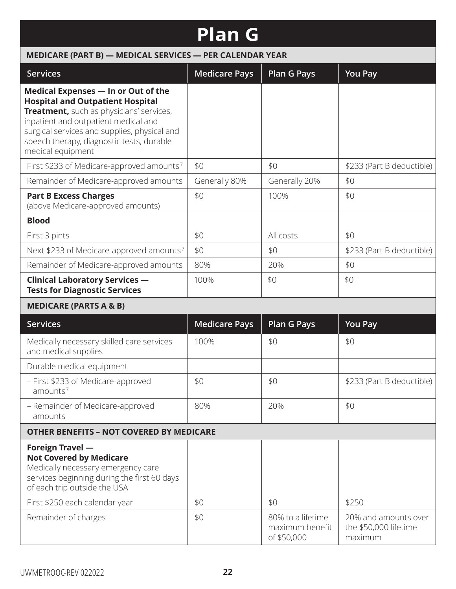# **Plan G**

| MEDICARE (PART B) - MEDICAL SERVICES - PER CALENDAR YEAR                                                                                                                                                                                                                             |                      |                                                     |                                                          |  |
|--------------------------------------------------------------------------------------------------------------------------------------------------------------------------------------------------------------------------------------------------------------------------------------|----------------------|-----------------------------------------------------|----------------------------------------------------------|--|
| <b>Services</b>                                                                                                                                                                                                                                                                      | <b>Medicare Pays</b> | <b>Plan G Pays</b>                                  | <b>You Pay</b>                                           |  |
| Medical Expenses - In or Out of the<br><b>Hospital and Outpatient Hospital</b><br>Treatment, such as physicians' services,<br>inpatient and outpatient medical and<br>surgical services and supplies, physical and<br>speech therapy, diagnostic tests, durable<br>medical equipment |                      |                                                     |                                                          |  |
| First \$233 of Medicare-approved amounts7                                                                                                                                                                                                                                            | \$0                  | \$0                                                 | \$233 (Part B deductible)                                |  |
| Remainder of Medicare-approved amounts                                                                                                                                                                                                                                               | Generally 80%        | Generally 20%                                       | \$0                                                      |  |
| <b>Part B Excess Charges</b><br>(above Medicare-approved amounts)                                                                                                                                                                                                                    | \$0                  | 100%                                                | \$0                                                      |  |
| <b>Blood</b>                                                                                                                                                                                                                                                                         |                      |                                                     |                                                          |  |
| First 3 pints                                                                                                                                                                                                                                                                        | \$0                  | All costs                                           | \$0                                                      |  |
| Next \$233 of Medicare-approved amounts <sup>7</sup>                                                                                                                                                                                                                                 | \$0                  | \$0                                                 | \$233 (Part B deductible)                                |  |
| Remainder of Medicare-approved amounts                                                                                                                                                                                                                                               | 80%                  | 20%                                                 | \$0                                                      |  |
| <b>Clinical Laboratory Services -</b><br><b>Tests for Diagnostic Services</b>                                                                                                                                                                                                        | 100%                 | \$0                                                 | \$0                                                      |  |
| <b>MEDICARE (PARTS A &amp; B)</b>                                                                                                                                                                                                                                                    |                      |                                                     |                                                          |  |
| <b>Services</b>                                                                                                                                                                                                                                                                      | <b>Medicare Pays</b> | <b>Plan G Pays</b>                                  | <b>You Pay</b>                                           |  |
| Medically necessary skilled care services<br>and medical supplies                                                                                                                                                                                                                    | 100%                 | \$0                                                 | \$0                                                      |  |
| Durable medical equipment                                                                                                                                                                                                                                                            |                      |                                                     |                                                          |  |
| - First \$233 of Medicare-approved<br>amounts <sup>7</sup>                                                                                                                                                                                                                           | \$0                  | \$0                                                 | \$233 (Part B deductible)                                |  |
| - Remainder of Medicare-approved<br>amounts                                                                                                                                                                                                                                          | 80%                  | 20%                                                 | \$0                                                      |  |
| <b>OTHER BENEFITS - NOT COVERED BY MEDICARE</b>                                                                                                                                                                                                                                      |                      |                                                     |                                                          |  |
| Foreign Travel -<br><b>Not Covered by Medicare</b><br>Medically necessary emergency care<br>services beginning during the first 60 days<br>of each trip outside the USA                                                                                                              |                      |                                                     |                                                          |  |
| First \$250 each calendar year                                                                                                                                                                                                                                                       | \$0                  | \$0                                                 | \$250                                                    |  |
| Remainder of charges                                                                                                                                                                                                                                                                 | \$0                  | 80% to a lifetime<br>maximum benefit<br>of \$50,000 | 20% and amounts over<br>the \$50,000 lifetime<br>maximum |  |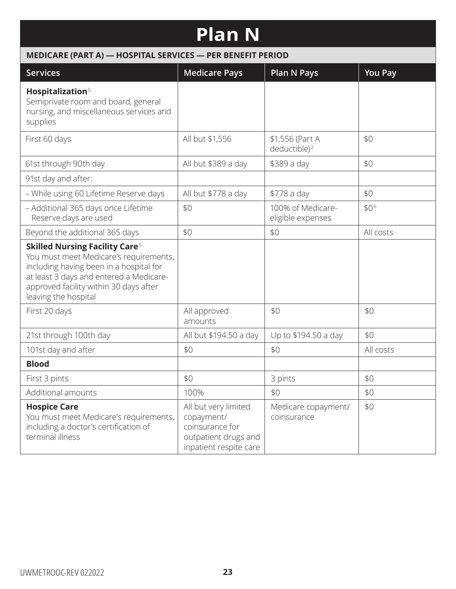# **Plan N**

| MEDICARE (PART A) - HOSPITAL SERVICES - PER BENEFIT PERIOD                                                                                                                                                                                         |                                                                                                         |                                             |                |  |
|----------------------------------------------------------------------------------------------------------------------------------------------------------------------------------------------------------------------------------------------------|---------------------------------------------------------------------------------------------------------|---------------------------------------------|----------------|--|
| <b>Services</b>                                                                                                                                                                                                                                    | <b>Medicare Pays</b>                                                                                    | <b>Plan N Pays</b>                          | <b>You Pay</b> |  |
| Hospitalization <sup>5</sup><br>Semiprivate room and board, general<br>nursing, and miscellaneous services and<br>supplies                                                                                                                         |                                                                                                         |                                             |                |  |
| First 60 days                                                                                                                                                                                                                                      | All but \$1,556                                                                                         | \$1,556 (Part A<br>deductible) <sup>2</sup> | \$0            |  |
| 61st through 90th day                                                                                                                                                                                                                              | All but \$389 a day                                                                                     | \$389 a day                                 | \$0            |  |
| 91st day and after:                                                                                                                                                                                                                                |                                                                                                         |                                             |                |  |
| - While using 60 Lifetime Reserve days                                                                                                                                                                                                             | All but \$778 a day                                                                                     | \$778 a day                                 | \$0            |  |
| - Additional 365 days once Lifetime<br>Reserve days are used                                                                                                                                                                                       | \$0                                                                                                     | 100% of Medicare-<br>eligible expenses      | \$06           |  |
| Beyond the additional 365 days                                                                                                                                                                                                                     | \$0                                                                                                     | \$0                                         | All costs      |  |
| <b>Skilled Nursing Facility Care<sup>5</sup></b><br>You must meet Medicare's requirements,<br>including having been in a hospital for<br>at least 3 days and entered a Medicare-<br>approved facility within 30 days after<br>leaving the hospital |                                                                                                         |                                             |                |  |
| First 20 days                                                                                                                                                                                                                                      | All approved<br>amounts                                                                                 | \$0                                         | \$0            |  |
| 21st through 100th day                                                                                                                                                                                                                             | All but \$194.50 a day                                                                                  | Up to \$194.50 a day                        | \$0            |  |
| 101st day and after                                                                                                                                                                                                                                | \$0                                                                                                     | \$0                                         | All costs      |  |
| <b>Blood</b>                                                                                                                                                                                                                                       |                                                                                                         |                                             |                |  |
| First 3 pints                                                                                                                                                                                                                                      | \$0                                                                                                     | 3 pints                                     | \$0            |  |
| Additional amounts                                                                                                                                                                                                                                 | 100%                                                                                                    | \$0                                         | \$0            |  |
| <b>Hospice Care</b><br>You must meet Medicare's requirements,<br>including a doctor's certification of<br>terminal illness                                                                                                                         | All but very limited<br>copayment/<br>coinsurance for<br>outpatient drugs and<br>inpatient respite care | Medicare copayment/<br>coinsurance          | \$0            |  |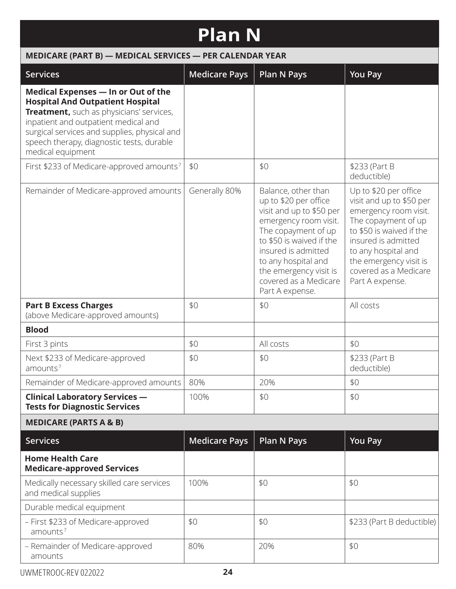# **Plan N**

#### **MEDICARE (PART B) — MEDICAL SERVICES — PER CALENDAR YEAR Services Medicare Pays Plan N Pays You Pay Medical Expenses — In or Out of the Hospital And Outpatient Hospital Treatment,** such as physicians' services, inpatient and outpatient medical and surgical services and supplies, physical and speech therapy, diagnostic tests, durable medical equipment First \$233 of Medicare-approved amounts<sup>7</sup> |  $$0$   $|$0$   $|$233$  (Part B deductible) Remainder of Medicare-approved amounts  $\vert$  Generally 80%  $\vert$  Balance, other than up to \$20 per office visit and up to \$50 per emergency room visit. The copayment of up to \$50 is waived if the insured is admitted to any hospital and the emergency visit is covered as a Medicare Part A expense. Up to \$20 per office visit and up to \$50 per emergency room visit. The copayment of up to \$50 is waived if the insured is admitted to any hospital and the emergency visit is covered as a Medicare Part A expense. **Part B Excess Charges**  (above Medicare-approved amounts)  $\frac{1}{20}$   $\frac{1}{20}$   $\frac{1}{20}$   $\frac{1}{20}$   $\frac{1}{20}$   $\frac{1}{20}$   $\frac{1}{20}$ **Blood** First 3 pints  $\begin{array}{|c|c|c|c|c|c|c|c|c|} \hline \end{array}$  \$0  $\begin{array}{|c|c|c|c|c|c|c|c|} \hline \end{array}$  \$0 Next \$233 of Medicare-approved amounts<sup>7</sup> \$0 \$233 (Part B deductible) Remainder of Medicare-approved amounts 80% 20% 20% 80 **Clinical Laboratory Services — Tests for Diagnostic Services** 100% | \$0 | \$0 **MEDICARE (PARTS A & B) Services Medicare Pays Plan N Pays You Pay Home Health Care Medicare-approved Services** Medically necessary skilled care services and medical supplies 100% | \$0 | \$0 Durable medical equipment – First \$233 of Medicare-approved  $amounds<sup>7</sup>$ \$0 \$0 \$233 (Part B deductible)

– Remainder of Medicare-approved

80% | 20% | \$0